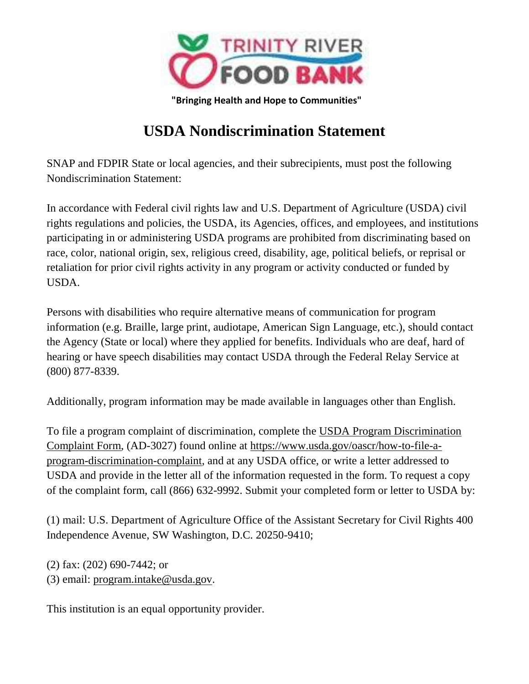

## **USDA Nondiscrimination Statement**

SNAP and FDPIR State or local agencies, and their subrecipients, must post the following Nondiscrimination Statement:

In accordance with Federal civil rights law and U.S. Department of Agriculture (USDA) civil rights regulations and policies, the USDA, its Agencies, offices, and employees, and institutions participating in or administering USDA programs are prohibited from discriminating based on race, color, national origin, sex, religious creed, disability, age, political beliefs, or reprisal or retaliation for prior civil rights activity in any program or activity conducted or funded by USDA.

Persons with disabilities who require alternative means of communication for program information (e.g. Braille, large print, audiotape, American Sign Language, etc.), should contact the Agency (State or local) where they applied for benefits. Individuals who are deaf, hard of hearing or have speech disabilities may contact USDA through the Federal Relay Service at (800) 877-8339.

Additionally, program information may be made available in languages other than English.

To file a program complaint of discrimination, complete the USDA Program Discrimination Complaint Form, (AD-3027) found online at https://www.usda.gov/oascr/how-to-file-aprogram-discrimination-complaint, and at any USDA office, or write a letter addressed to USDA and provide in the letter all of the information requested in the form. To request a copy of the complaint form, call (866) 632-9992. Submit your completed form or letter to USDA by:

(1) mail: U.S. Department of Agriculture Office of the Assistant Secretary for Civil Rights 400 Independence Avenue, SW Washington, D.C. 20250-9410;

(2) fax: (202) 690-7442; or

(3) email: program.intake@usda.gov.

This institution is an equal opportunity provider.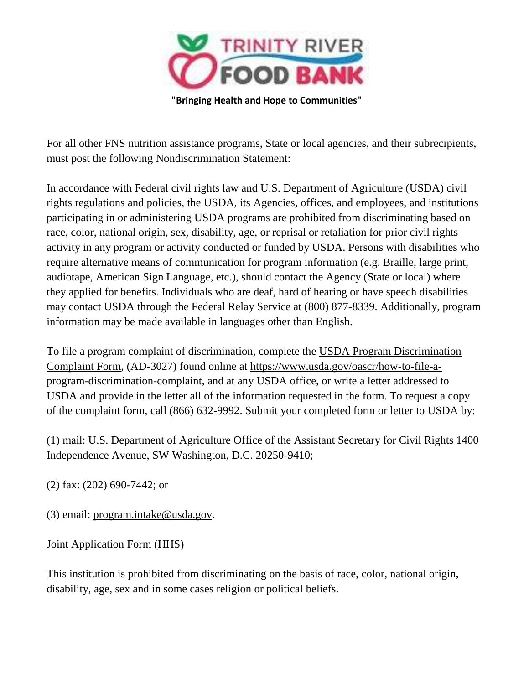

For all other FNS nutrition assistance programs, State or local agencies, and their subrecipients, must post the following Nondiscrimination Statement:

In accordance with Federal civil rights law and U.S. Department of Agriculture (USDA) civil rights regulations and policies, the USDA, its Agencies, offices, and employees, and institutions participating in or administering USDA programs are prohibited from discriminating based on race, color, national origin, sex, disability, age, or reprisal or retaliation for prior civil rights activity in any program or activity conducted or funded by USDA. Persons with disabilities who require alternative means of communication for program information (e.g. Braille, large print, audiotape, American Sign Language, etc.), should contact the Agency (State or local) where they applied for benefits. Individuals who are deaf, hard of hearing or have speech disabilities may contact USDA through the Federal Relay Service at (800) 877-8339. Additionally, program information may be made available in languages other than English.

To file a program complaint of discrimination, complete the USDA Program Discrimination Complaint Form, (AD-3027) found online at https://www.usda.gov/oascr/how-to-file-aprogram-discrimination-complaint, and at any USDA office, or write a letter addressed to USDA and provide in the letter all of the information requested in the form. To request a copy of the complaint form, call (866) 632-9992. Submit your completed form or letter to USDA by:

(1) mail: U.S. Department of Agriculture Office of the Assistant Secretary for Civil Rights 1400 Independence Avenue, SW Washington, D.C. 20250-9410;

(2) fax: (202) 690-7442; or

(3) email: program.intake@usda.gov.

Joint Application Form (HHS)

This institution is prohibited from discriminating on the basis of race, color, national origin, disability, age, sex and in some cases religion or political beliefs.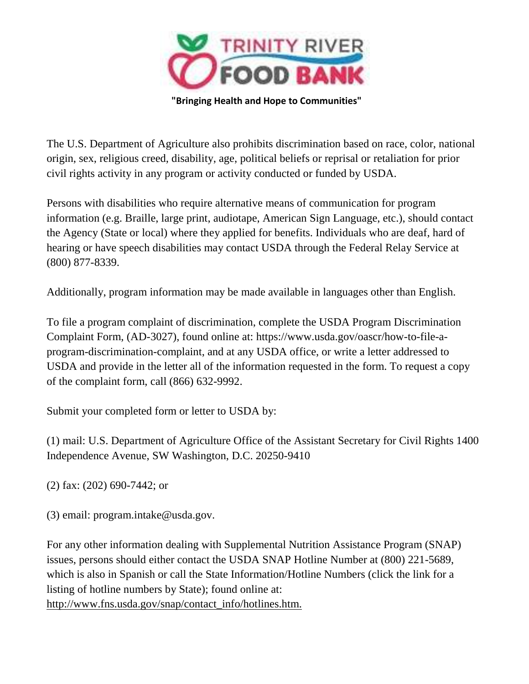

The U.S. Department of Agriculture also prohibits discrimination based on race, color, national origin, sex, religious creed, disability, age, political beliefs or reprisal or retaliation for prior civil rights activity in any program or activity conducted or funded by USDA.

Persons with disabilities who require alternative means of communication for program information (e.g. Braille, large print, audiotape, American Sign Language, etc.), should contact the Agency (State or local) where they applied for benefits. Individuals who are deaf, hard of hearing or have speech disabilities may contact USDA through the Federal Relay Service at (800) 877-8339.

Additionally, program information may be made available in languages other than English.

To file a program complaint of discrimination, complete the USDA Program Discrimination Complaint Form, (AD-3027), found online at: https://www.usda.gov/oascr/how-to-file-aprogram-discrimination-complaint, and at any USDA office, or write a letter addressed to USDA and provide in the letter all of the information requested in the form. To request a copy of the complaint form, call (866) 632-9992.

Submit your completed form or letter to USDA by:

(1) mail: U.S. Department of Agriculture Office of the Assistant Secretary for Civil Rights 1400 Independence Avenue, SW Washington, D.C. 20250-9410

(2) fax: (202) 690-7442; or

(3) email: program.intake@usda.gov.

For any other information dealing with Supplemental Nutrition Assistance Program (SNAP) issues, persons should either contact the USDA SNAP Hotline Number at (800) 221-5689, which is also in Spanish or call the State Information/Hotline Numbers (click the link for a listing of hotline numbers by State); found online at: http://www.fns.usda.gov/snap/contact\_info/hotlines.htm.